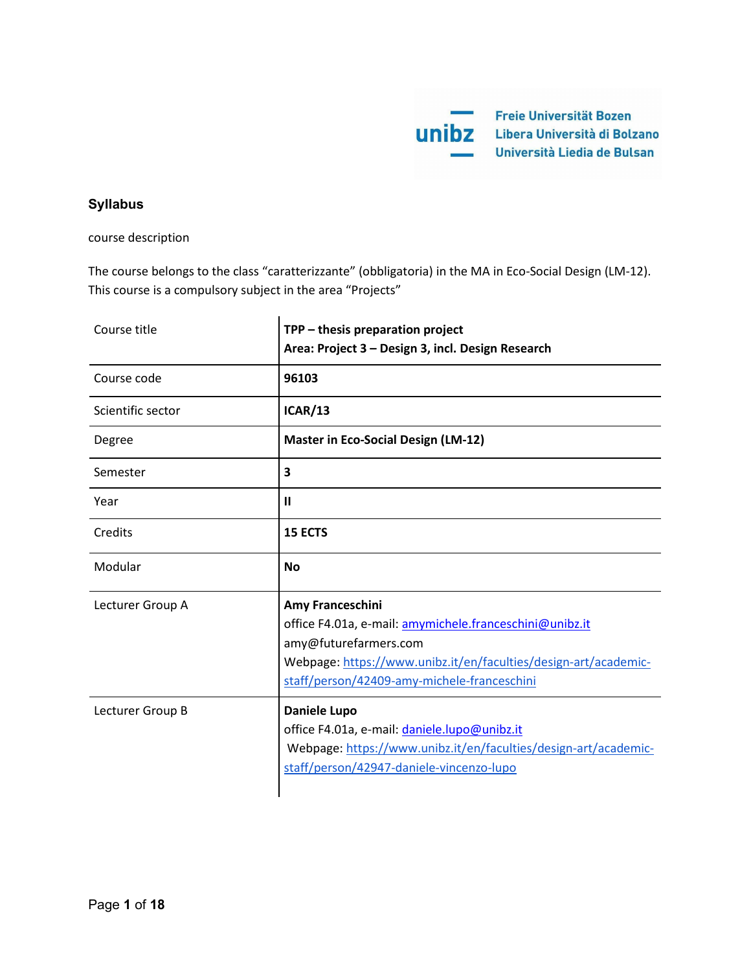

# **Syllabus**

course description

The course belongs to the class "caratterizzante" (obbligatoria) in the MA in Eco-Social Design (LM-12). This course is a compulsory subject in the area "Projects"

| Course title      | TPP - thesis preparation project<br>Area: Project 3 - Design 3, incl. Design Research                                                                                                                                  |
|-------------------|------------------------------------------------------------------------------------------------------------------------------------------------------------------------------------------------------------------------|
| Course code       | 96103                                                                                                                                                                                                                  |
| Scientific sector | <b>ICAR/13</b>                                                                                                                                                                                                         |
| Degree            | <b>Master in Eco-Social Design (LM-12)</b>                                                                                                                                                                             |
| Semester          | 3                                                                                                                                                                                                                      |
| Year              | $\mathbf{I}$                                                                                                                                                                                                           |
| Credits           | <b>15 ECTS</b>                                                                                                                                                                                                         |
| Modular           | <b>No</b>                                                                                                                                                                                                              |
| Lecturer Group A  | Amy Franceschini<br>office F4.01a, e-mail: amymichele.franceschini@unibz.it<br>amy@futurefarmers.com<br>Webpage: https://www.unibz.it/en/faculties/design-art/academic-<br>staff/person/42409-amy-michele-franceschini |
| Lecturer Group B  | <b>Daniele Lupo</b><br>office F4.01a, e-mail: daniele.lupo@unibz.it<br>Webpage: https://www.unibz.it/en/faculties/design-art/academic-<br>staff/person/42947-daniele-vincenzo-lupo                                     |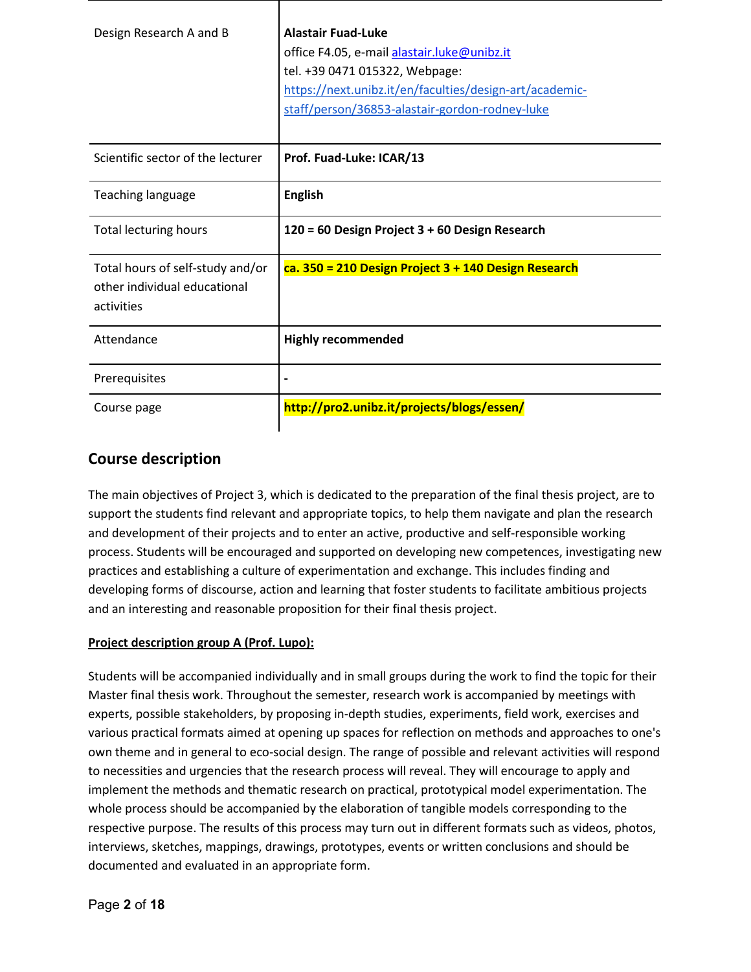| Design Research A and B                                                        | <b>Alastair Fuad-Luke</b><br>office F4.05, e-mail alastair.luke@unibz.it<br>tel. +39 0471 015322, Webpage:<br>https://next.unibz.it/en/faculties/design-art/academic-<br>staff/person/36853-alastair-gordon-rodney-luke |
|--------------------------------------------------------------------------------|-------------------------------------------------------------------------------------------------------------------------------------------------------------------------------------------------------------------------|
| Scientific sector of the lecturer                                              | Prof. Fuad-Luke: ICAR/13                                                                                                                                                                                                |
| <b>Teaching language</b>                                                       | <b>English</b>                                                                                                                                                                                                          |
| <b>Total lecturing hours</b>                                                   | 120 = 60 Design Project 3 + 60 Design Research                                                                                                                                                                          |
| Total hours of self-study and/or<br>other individual educational<br>activities | $ca. 350 = 210$ Design Project $3 + 140$ Design Research                                                                                                                                                                |
| Attendance                                                                     | <b>Highly recommended</b>                                                                                                                                                                                               |
| Prerequisites                                                                  |                                                                                                                                                                                                                         |
| Course page                                                                    | http://pro2.unibz.it/projects/blogs/essen/                                                                                                                                                                              |

# **Course description**

The main objectives of Project 3, which is dedicated to the preparation of the final thesis project, are to support the students find relevant and appropriate topics, to help them navigate and plan the research and development of their projects and to enter an active, productive and self-responsible working process. Students will be encouraged and supported on developing new competences, investigating new practices and establishing a culture of experimentation and exchange. This includes finding and developing forms of discourse, action and learning that foster students to facilitate ambitious projects and an interesting and reasonable proposition for their final thesis project.

# **Project description group A (Prof. Lupo):**

Students will be accompanied individually and in small groups during the work to find the topic for their Master final thesis work. Throughout the semester, research work is accompanied by meetings with experts, possible stakeholders, by proposing in-depth studies, experiments, field work, exercises and various practical formats aimed at opening up spaces for reflection on methods and approaches to one's own theme and in general to eco-social design. The range of possible and relevant activities will respond to necessities and urgencies that the research process will reveal. They will encourage to apply and implement the methods and thematic research on practical, prototypical model experimentation. The whole process should be accompanied by the elaboration of tangible models corresponding to the respective purpose. The results of this process may turn out in different formats such as videos, photos, interviews, sketches, mappings, drawings, prototypes, events or written conclusions and should be documented and evaluated in an appropriate form.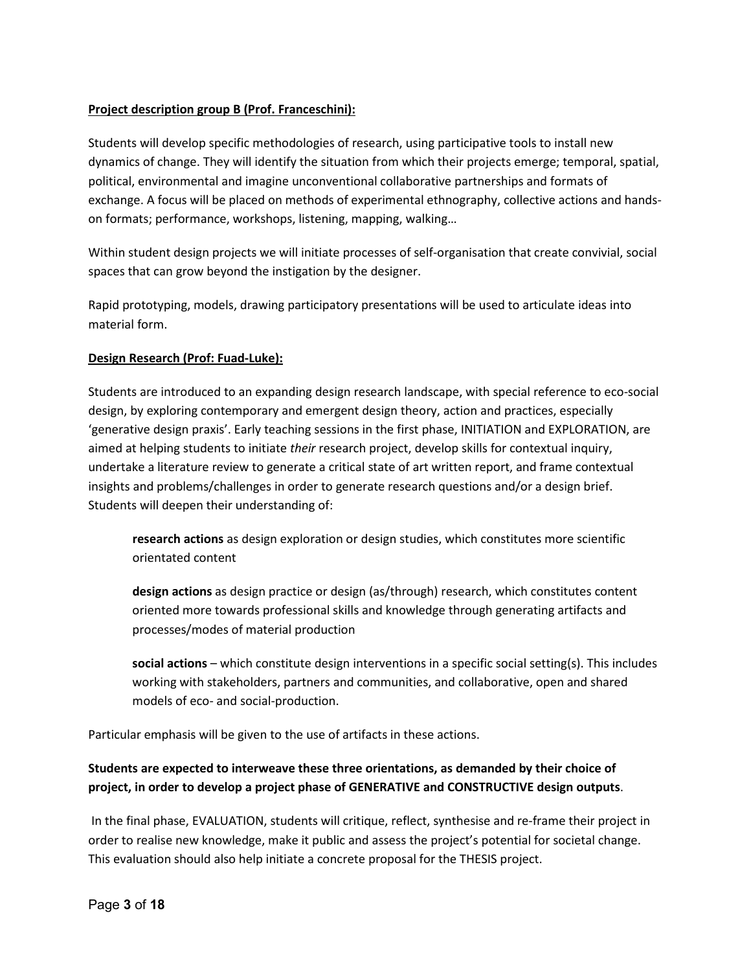# **Project description group B (Prof. Franceschini):**

Students will develop specific methodologies of research, using participative tools to install new dynamics of change. They will identify the situation from which their projects emerge; temporal, spatial, political, environmental and imagine unconventional collaborative partnerships and formats of exchange. A focus will be placed on methods of experimental ethnography, collective actions and handson formats; performance, workshops, listening, mapping, walking…

Within student design projects we will initiate processes of self-organisation that create convivial, social spaces that can grow beyond the instigation by the designer.

Rapid prototyping, models, drawing participatory presentations will be used to articulate ideas into material form.

# **Design Research (Prof: Fuad-Luke):**

Students are introduced to an expanding design research landscape, with special reference to eco-social design, by exploring contemporary and emergent design theory, action and practices, especially 'generative design praxis'. Early teaching sessions in the first phase, INITIATION and EXPLORATION, are aimed at helping students to initiate *their* research project, develop skills for contextual inquiry, undertake a literature review to generate a critical state of art written report, and frame contextual insights and problems/challenges in order to generate research questions and/or a design brief. Students will deepen their understanding of:

**research actions** as design exploration or design studies, which constitutes more scientific orientated content

**design actions** as design practice or design (as/through) research, which constitutes content oriented more towards professional skills and knowledge through generating artifacts and processes/modes of material production

**social actions** – which constitute design interventions in a specific social setting(s). This includes working with stakeholders, partners and communities, and collaborative, open and shared models of eco- and social-production.

Particular emphasis will be given to the use of artifacts in these actions.

# **Students are expected to interweave these three orientations, as demanded by their choice of project, in order to develop a project phase of GENERATIVE and CONSTRUCTIVE design outputs**.

In the final phase, EVALUATION, students will critique, reflect, synthesise and re-frame their project in order to realise new knowledge, make it public and assess the project's potential for societal change. This evaluation should also help initiate a concrete proposal for the THESIS project.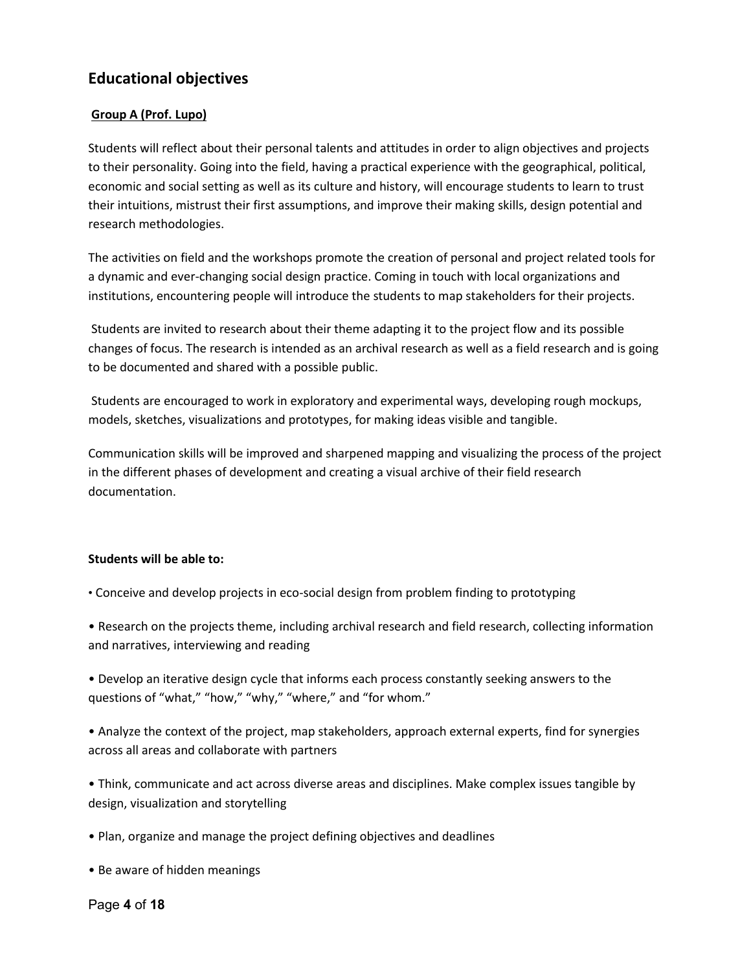# **Educational objectives**

# **Group A (Prof. Lupo)**

Students will reflect about their personal talents and attitudes in order to align objectives and projects to their personality. Going into the field, having a practical experience with the geographical, political, economic and social setting as well as its culture and history, will encourage students to learn to trust their intuitions, mistrust their first assumptions, and improve their making skills, design potential and research methodologies.

The activities on field and the workshops promote the creation of personal and project related tools for a dynamic and ever-changing social design practice. Coming in touch with local organizations and institutions, encountering people will introduce the students to map stakeholders for their projects.

Students are invited to research about their theme adapting it to the project flow and its possible changes of focus. The research is intended as an archival research as well as a field research and is going to be documented and shared with a possible public.

Students are encouraged to work in exploratory and experimental ways, developing rough mockups, models, sketches, visualizations and prototypes, for making ideas visible and tangible.

Communication skills will be improved and sharpened mapping and visualizing the process of the project in the different phases of development and creating a visual archive of their field research documentation.

# **Students will be able to:**

- Conceive and develop projects in eco-social design from problem finding to prototyping
- Research on the projects theme, including archival research and field research, collecting information and narratives, interviewing and reading
- Develop an iterative design cycle that informs each process constantly seeking answers to the questions of "what," "how," "why," "where," and "for whom."
- Analyze the context of the project, map stakeholders, approach external experts, find for synergies across all areas and collaborate with partners
- Think, communicate and act across diverse areas and disciplines. Make complex issues tangible by design, visualization and storytelling
- Plan, organize and manage the project defining objectives and deadlines
- Be aware of hidden meanings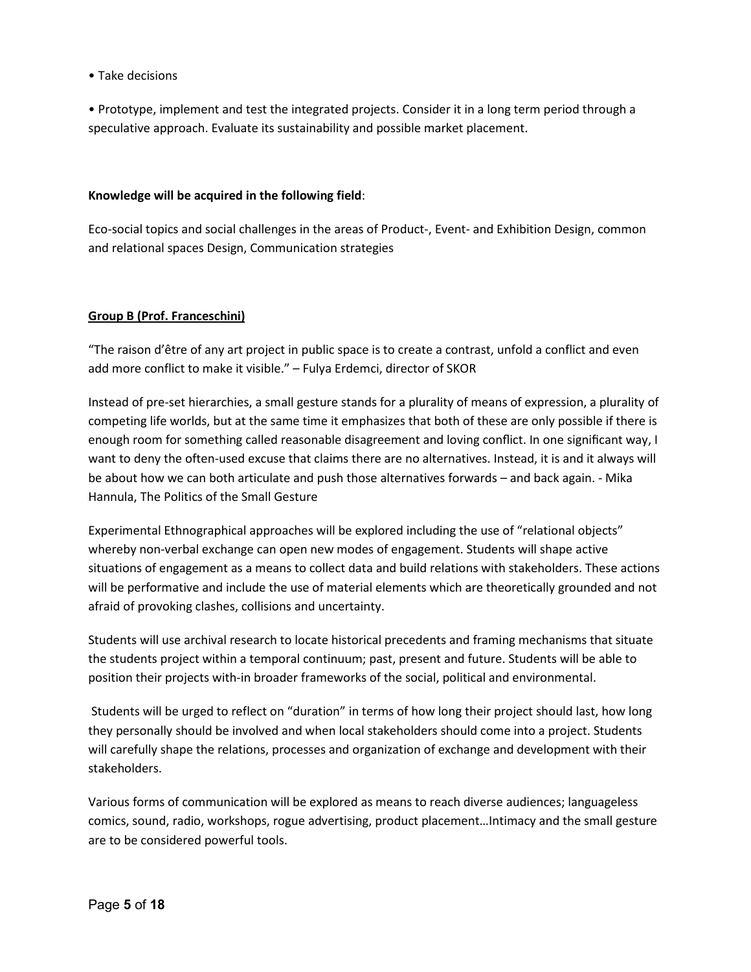• Take decisions

• Prototype, implement and test the integrated projects. Consider it in a long term period through a speculative approach. Evaluate its sustainability and possible market placement.

# **Knowledge will be acquired in the following field**:

Eco-social topics and social challenges in the areas of Product-, Event- and Exhibition Design, common and relational spaces Design, Communication strategies

# **Group B (Prof. Franceschini)**

"The raison d'être of any art project in public space is to create a contrast, unfold a conflict and even add more conflict to make it visible." – Fulya Erdemci, director of SKOR

Instead of pre-set hierarchies, a small gesture stands for a plurality of means of expression, a plurality of competing life worlds, but at the same time it emphasizes that both of these are only possible if there is enough room for something called reasonable disagreement and loving conflict. In one significant way, I want to deny the often-used excuse that claims there are no alternatives. Instead, it is and it always will be about how we can both articulate and push those alternatives forwards – and back again. - Mika Hannula, The Politics of the Small Gesture

Experimental Ethnographical approaches will be explored including the use of "relational objects" whereby non-verbal exchange can open new modes of engagement. Students will shape active situations of engagement as a means to collect data and build relations with stakeholders. These actions will be performative and include the use of material elements which are theoretically grounded and not afraid of provoking clashes, collisions and uncertainty.

Students will use archival research to locate historical precedents and framing mechanisms that situate the students project within a temporal continuum; past, present and future. Students will be able to position their projects with-in broader frameworks of the social, political and environmental.

Students will be urged to reflect on "duration" in terms of how long their project should last, how long they personally should be involved and when local stakeholders should come into a project. Students will carefully shape the relations, processes and organization of exchange and development with their stakeholders.

Various forms of communication will be explored as means to reach diverse audiences; languageless comics, sound, radio, workshops, rogue advertising, product placement…Intimacy and the small gesture are to be considered powerful tools.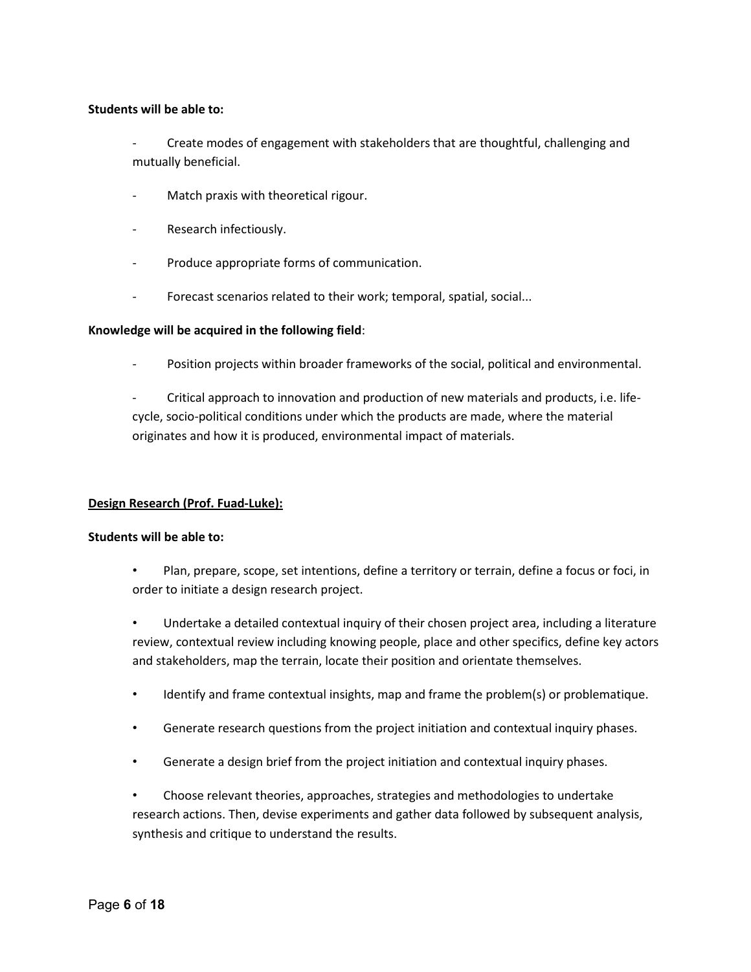### **Students will be able to:**

- Create modes of engagement with stakeholders that are thoughtful, challenging and mutually beneficial.

- Match praxis with theoretical rigour.
- Research infectiously.
- Produce appropriate forms of communication.
- Forecast scenarios related to their work; temporal, spatial, social...

#### **Knowledge will be acquired in the following field**:

Position projects within broader frameworks of the social, political and environmental.

Critical approach to innovation and production of new materials and products, i.e. lifecycle, socio-political conditions under which the products are made, where the material originates and how it is produced, environmental impact of materials.

# **Design Research (Prof. Fuad-Luke):**

#### **Students will be able to:**

• Plan, prepare, scope, set intentions, define a territory or terrain, define a focus or foci, in order to initiate a design research project.

• Undertake a detailed contextual inquiry of their chosen project area, including a literature review, contextual review including knowing people, place and other specifics, define key actors and stakeholders, map the terrain, locate their position and orientate themselves.

- Identify and frame contextual insights, map and frame the problem(s) or problematique.
- Generate research questions from the project initiation and contextual inquiry phases.
- Generate a design brief from the project initiation and contextual inquiry phases.

• Choose relevant theories, approaches, strategies and methodologies to undertake research actions. Then, devise experiments and gather data followed by subsequent analysis, synthesis and critique to understand the results.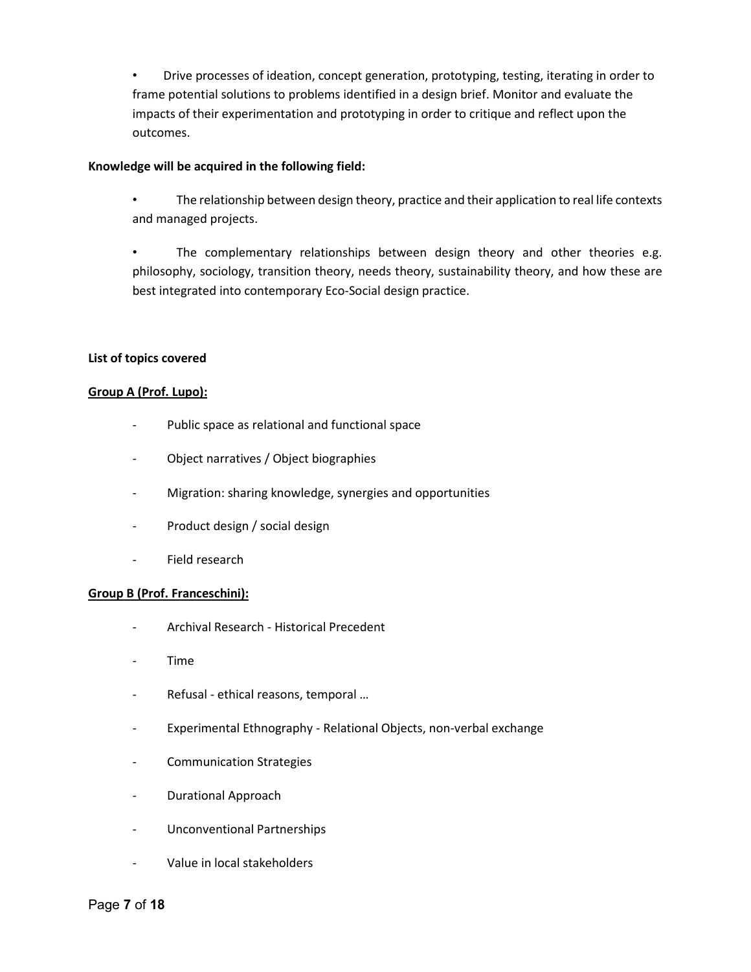• Drive processes of ideation, concept generation, prototyping, testing, iterating in order to frame potential solutions to problems identified in a design brief. Monitor and evaluate the impacts of their experimentation and prototyping in order to critique and reflect upon the outcomes.

### **Knowledge will be acquired in the following field:**

- The relationship between design theory, practice and their application to real life contexts and managed projects.
- The complementary relationships between design theory and other theories e.g. philosophy, sociology, transition theory, needs theory, sustainability theory, and how these are best integrated into contemporary Eco-Social design practice.

#### **List of topics covered**

# **Group A (Prof. Lupo):**

- Public space as relational and functional space
- Object narratives / Object biographies
- Migration: sharing knowledge, synergies and opportunities
- Product design / social design
- Field research

# **Group B (Prof. Franceschini):**

- Archival Research Historical Precedent
- Time
- Refusal ethical reasons, temporal …
- Experimental Ethnography Relational Objects, non-verbal exchange
- Communication Strategies
- Durational Approach
- Unconventional Partnerships
- Value in local stakeholders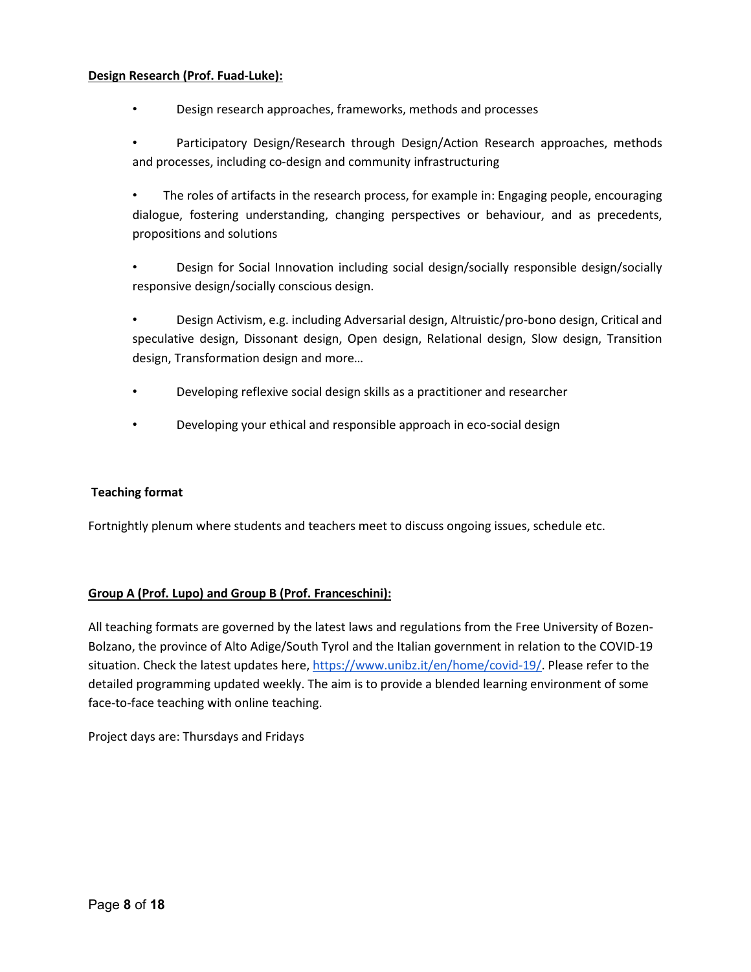# **Design Research (Prof. Fuad-Luke):**

• Design research approaches, frameworks, methods and processes

• Participatory Design/Research through Design/Action Research approaches, methods and processes, including co-design and community infrastructuring

• The roles of artifacts in the research process, for example in: Engaging people, encouraging dialogue, fostering understanding, changing perspectives or behaviour, and as precedents, propositions and solutions

• Design for Social Innovation including social design/socially responsible design/socially responsive design/socially conscious design.

• Design Activism, e.g. including Adversarial design, Altruistic/pro-bono design, Critical and speculative design, Dissonant design, Open design, Relational design, Slow design, Transition design, Transformation design and more…

- Developing reflexive social design skills as a practitioner and researcher
- Developing your ethical and responsible approach in eco-social design

# **Teaching format**

Fortnightly plenum where students and teachers meet to discuss ongoing issues, schedule etc.

# **Group A (Prof. Lupo) and Group B (Prof. Franceschini):**

All teaching formats are governed by the latest laws and regulations from the Free University of Bozen-Bolzano, the province of Alto Adige/South Tyrol and the Italian government in relation to the COVID-19 situation. Check the latest updates here, [https://www.unibz.it/en/home/covid-19/.](https://www.unibz.it/en/home/covid-19/) Please refer to the detailed programming updated weekly. The aim is to provide a blended learning environment of some face-to-face teaching with online teaching.

Project days are: Thursdays and Fridays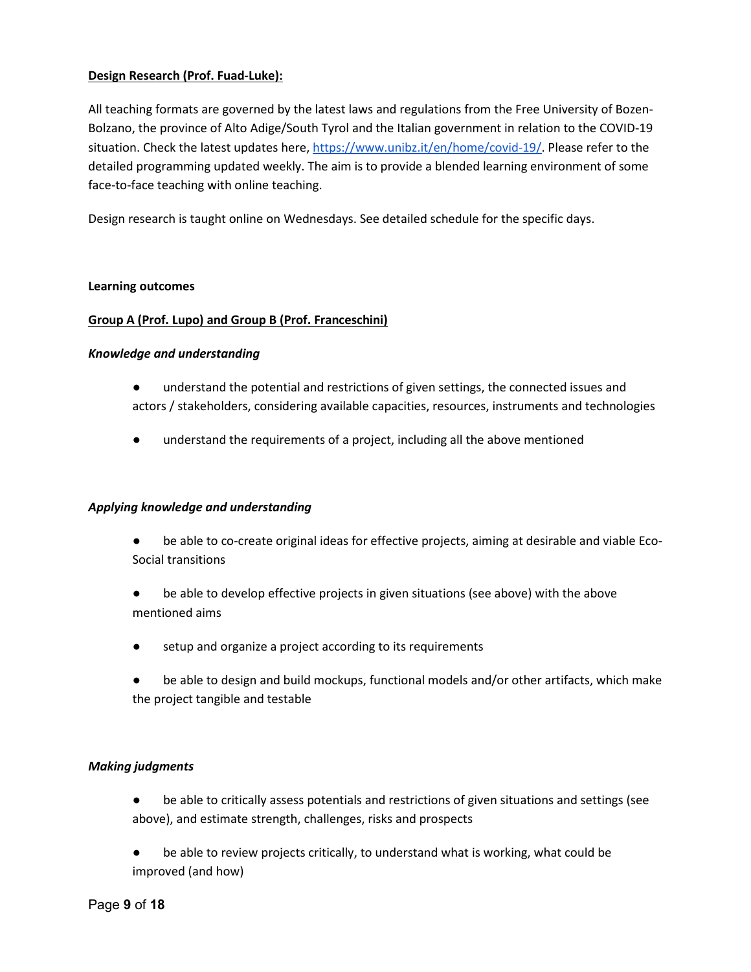# **Design Research (Prof. Fuad-Luke):**

All teaching formats are governed by the latest laws and regulations from the Free University of Bozen-Bolzano, the province of Alto Adige/South Tyrol and the Italian government in relation to the COVID-19 situation. Check the latest updates here, [https://www.unibz.it/en/home/covid-19/.](https://www.unibz.it/en/home/covid-19/) Please refer to the detailed programming updated weekly. The aim is to provide a blended learning environment of some face-to-face teaching with online teaching.

Design research is taught online on Wednesdays. See detailed schedule for the specific days.

#### **Learning outcomes**

# **Group A (Prof. Lupo) and Group B (Prof. Franceschini)**

#### *Knowledge and understanding*

- understand the potential and restrictions of given settings, the connected issues and actors / stakeholders, considering available capacities, resources, instruments and technologies
- understand the requirements of a project, including all the above mentioned

#### *Applying knowledge and understanding*

- be able to co-create original ideas for effective projects, aiming at desirable and viable Eco-Social transitions
- be able to develop effective projects in given situations (see above) with the above mentioned aims
- setup and organize a project according to its requirements
- be able to design and build mockups, functional models and/or other artifacts, which make the project tangible and testable

#### *Making judgments*

- be able to critically assess potentials and restrictions of given situations and settings (see above), and estimate strength, challenges, risks and prospects
- be able to review projects critically, to understand what is working, what could be improved (and how)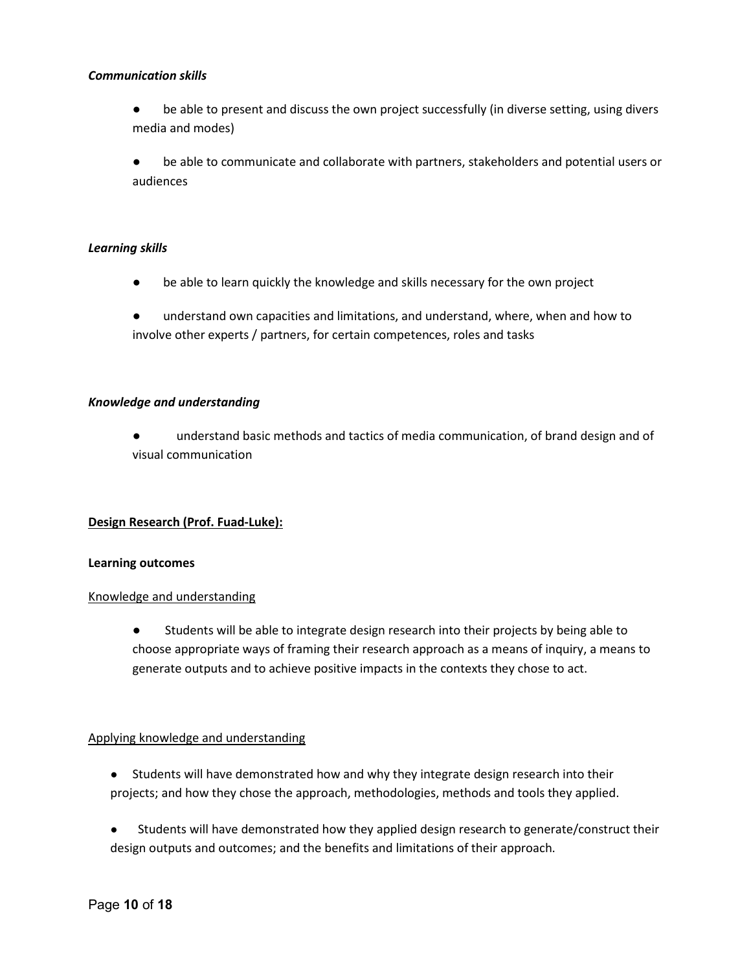#### *Communication skills*

● be able to present and discuss the own project successfully (in diverse setting, using divers media and modes)

● be able to communicate and collaborate with partners, stakeholders and potential users or audiences

# *Learning skills*

- be able to learn quickly the knowledge and skills necessary for the own project
- understand own capacities and limitations, and understand, where, when and how to involve other experts / partners, for certain competences, roles and tasks

#### *Knowledge and understanding*

● understand basic methods and tactics of media communication, of brand design and of visual communication

# **Design Research (Prof. Fuad-Luke):**

#### **Learning outcomes**

# Knowledge and understanding

● Students will be able to integrate design research into their projects by being able to choose appropriate ways of framing their research approach as a means of inquiry, a means to generate outputs and to achieve positive impacts in the contexts they chose to act.

# Applying knowledge and understanding

- Students will have demonstrated how and why they integrate design research into their projects; and how they chose the approach, methodologies, methods and tools they applied.
- Students will have demonstrated how they applied design research to generate/construct their design outputs and outcomes; and the benefits and limitations of their approach.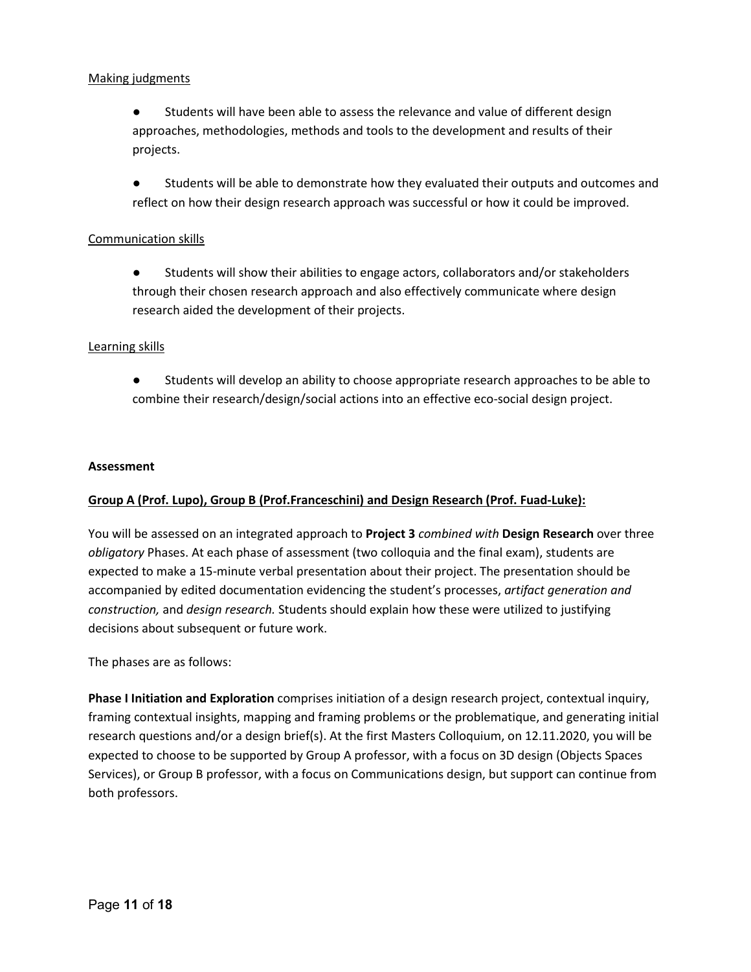#### Making judgments

● Students will have been able to assess the relevance and value of different design approaches, methodologies, methods and tools to the development and results of their projects.

● Students will be able to demonstrate how they evaluated their outputs and outcomes and reflect on how their design research approach was successful or how it could be improved.

# Communication skills

● Students will show their abilities to engage actors, collaborators and/or stakeholders through their chosen research approach and also effectively communicate where design research aided the development of their projects.

#### Learning skills

● Students will develop an ability to choose appropriate research approaches to be able to combine their research/design/social actions into an effective eco-social design project.

#### **Assessment**

# **Group A (Prof. Lupo), Group B (Prof.Franceschini) and Design Research (Prof. Fuad-Luke):**

You will be assessed on an integrated approach to **Project 3** *combined with* **Design Research** over three *obligatory* Phases. At each phase of assessment (two colloquia and the final exam), students are expected to make a 15-minute verbal presentation about their project. The presentation should be accompanied by edited documentation evidencing the student's processes, *artifact generation and construction,* and *design research.* Students should explain how these were utilized to justifying decisions about subsequent or future work.

The phases are as follows:

**Phase I Initiation and Exploration** comprises initiation of a design research project, contextual inquiry, framing contextual insights, mapping and framing problems or the problematique, and generating initial research questions and/or a design brief(s). At the first Masters Colloquium, on 12.11.2020, you will be expected to choose to be supported by Group A professor, with a focus on 3D design (Objects Spaces Services), or Group B professor, with a focus on Communications design, but support can continue from both professors.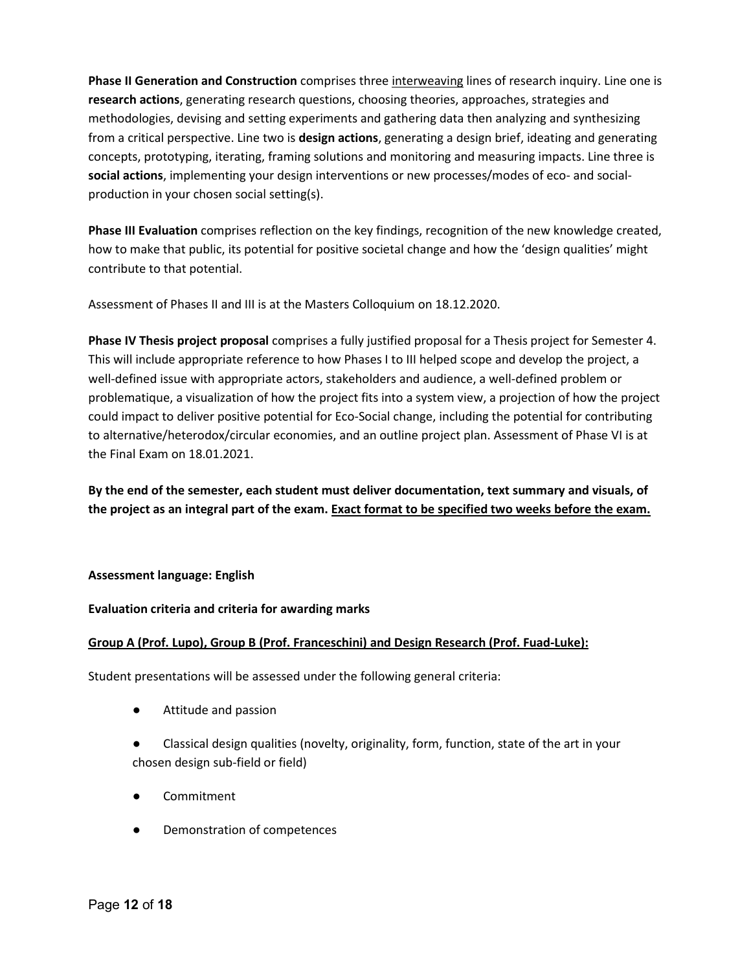**Phase II Generation and Construction** comprises three interweaving lines of research inquiry. Line one is **research actions**, generating research questions, choosing theories, approaches, strategies and methodologies, devising and setting experiments and gathering data then analyzing and synthesizing from a critical perspective. Line two is **design actions**, generating a design brief, ideating and generating concepts, prototyping, iterating, framing solutions and monitoring and measuring impacts. Line three is **social actions**, implementing your design interventions or new processes/modes of eco- and socialproduction in your chosen social setting(s).

**Phase III Evaluation** comprises reflection on the key findings, recognition of the new knowledge created, how to make that public, its potential for positive societal change and how the 'design qualities' might contribute to that potential.

Assessment of Phases II and III is at the Masters Colloquium on 18.12.2020.

**Phase IV Thesis project proposal** comprises a fully justified proposal for a Thesis project for Semester 4. This will include appropriate reference to how Phases I to III helped scope and develop the project, a well-defined issue with appropriate actors, stakeholders and audience, a well-defined problem or problematique, a visualization of how the project fits into a system view, a projection of how the project could impact to deliver positive potential for Eco-Social change, including the potential for contributing to alternative/heterodox/circular economies, and an outline project plan. Assessment of Phase VI is at the Final Exam on 18.01.2021.

**By the end of the semester, each student must deliver documentation, text summary and visuals, of the project as an integral part of the exam. Exact format to be specified two weeks before the exam.**

# **Assessment language: English**

# **Evaluation criteria and criteria for awarding marks**

# **Group A (Prof. Lupo), Group B (Prof. Franceschini) and Design Research (Prof. Fuad-Luke):**

Student presentations will be assessed under the following general criteria:

- Attitude and passion
- Classical design qualities (novelty, originality, form, function, state of the art in your chosen design sub-field or field)
- **Commitment**
- Demonstration of competences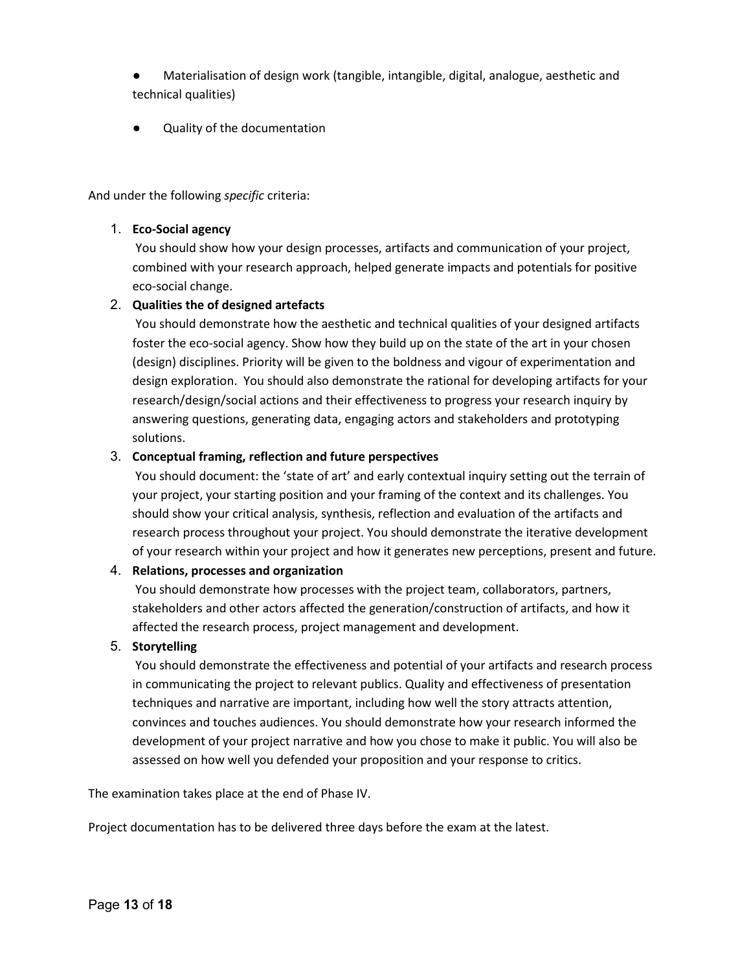Materialisation of design work (tangible, intangible, digital, analogue, aesthetic and technical qualities)

Quality of the documentation

And under the following *specific* criteria:

# 1. **Eco-Social agency**

You should show how your design processes, artifacts and communication of your project, combined with your research approach, helped generate impacts and potentials for positive eco-social change.

# 2. **Qualities the of designed artefacts**

You should demonstrate how the aesthetic and technical qualities of your designed artifacts foster the eco-social agency. Show how they build up on the state of the art in your chosen (design) disciplines. Priority will be given to the boldness and vigour of experimentation and design exploration. You should also demonstrate the rational for developing artifacts for your research/design/social actions and their effectiveness to progress your research inquiry by answering questions, generating data, engaging actors and stakeholders and prototyping solutions.

# 3. **Conceptual framing, reflection and future perspectives**

You should document: the 'state of art' and early contextual inquiry setting out the terrain of your project, your starting position and your framing of the context and its challenges. You should show your critical analysis, synthesis, reflection and evaluation of the artifacts and research process throughout your project. You should demonstrate the iterative development of your research within your project and how it generates new perceptions, present and future.

# 4. **Relations, processes and organization**

You should demonstrate how processes with the project team, collaborators, partners, stakeholders and other actors affected the generation/construction of artifacts, and how it affected the research process, project management and development.

# 5. **Storytelling**

You should demonstrate the effectiveness and potential of your artifacts and research process in communicating the project to relevant publics. Quality and effectiveness of presentation techniques and narrative are important, including how well the story attracts attention, convinces and touches audiences. You should demonstrate how your research informed the development of your project narrative and how you chose to make it public. You will also be assessed on how well you defended your proposition and your response to critics.

The examination takes place at the end of Phase IV.

Project documentation has to be delivered three days before the exam at the latest.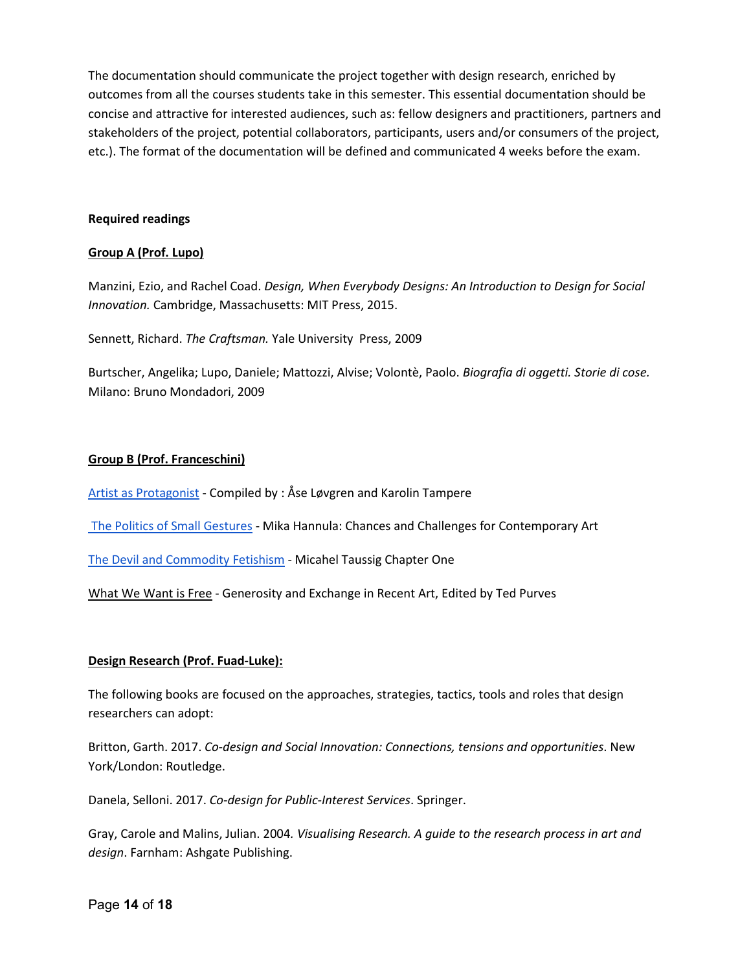The documentation should communicate the project together with design research, enriched by outcomes from all the courses students take in this semester. This essential documentation should be concise and attractive for interested audiences, such as: fellow designers and practitioners, partners and stakeholders of the project, potential collaborators, participants, users and/or consumers of the project, etc.). The format of the documentation will be defined and communicated 4 weeks before the exam.

#### **Required readings**

# **Group A (Prof. Lupo)**

Manzini, Ezio, and Rachel Coad. *Design, When Everybody Designs: An Introduction to Design for Social Innovation.* Cambridge, Massachusetts: MIT Press, 2015.

Sennett, Richard. *The Craftsman.* Yale University Press, 2009

Burtscher, Angelika; Lupo, Daniele; Mattozzi, Alvise; Volontè, Paolo. *Biografia di oggetti. Storie di cose.*  Milano: Bruno Mondadori, 2009

# **Group B (Prof. Franceschini)**

[Artist as Protagonist](http://www.commonlands.net/readers/art_as_protagonist_eng.pdf) - Compiled by : Åse Løvgren and Karolin Tampere

[The Politics of Small Gestures](https://static1.squarespace.com/static/54d6681fe4b02fde3d6e646e/t/54f84951e4b0b65fe0ba0ea6/1425557841762/mikabook.pdf) - Mika Hannula: Chances and Challenges for Contemporary Art

[The Devil and Commodity Fetishism](https://www.wkv-stuttgart.de/uploads/media/taussig_devil_commodity.pdf) - Micahel Taussig Chapter One

What We Want is Free - Generosity and Exchange in Recent Art, Edited by Ted Purves

# **Design Research (Prof. Fuad-Luke):**

The following books are focused on the approaches, strategies, tactics, tools and roles that design researchers can adopt:

Britton, Garth. 2017. *Co-design and Social Innovation: Connections, tensions and opportunities*. New York/London: Routledge.

Danela, Selloni. 2017. *Co-design for Public-Interest Services*. Springer.

Gray, Carole and Malins, Julian. 2004*. Visualising Research. A guide to the research process in art and design*. Farnham: Ashgate Publishing.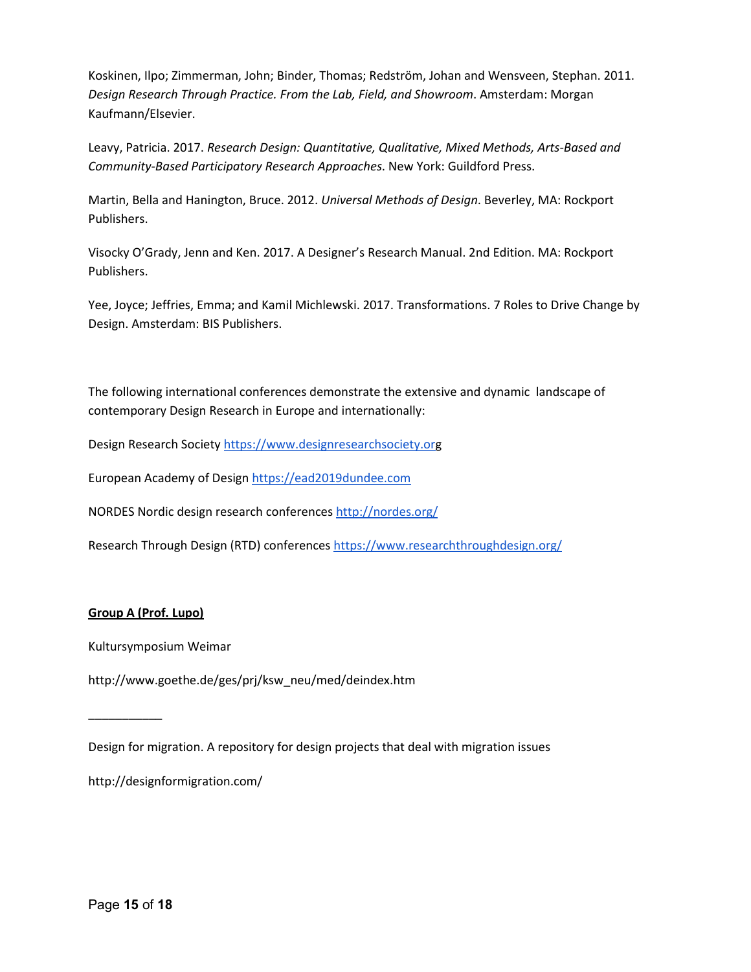Koskinen, Ilpo; Zimmerman, John; Binder, Thomas; Redström, Johan and Wensveen, Stephan. 2011. *Design Research Through Practice. From the Lab, Field, and Showroom*. Amsterdam: Morgan Kaufmann/Elsevier.

Leavy, Patricia. 2017. *Research Design: Quantitative, Qualitative, Mixed Methods, Arts-Based and Community-Based Participatory Research Approaches*. New York: Guildford Press.

Martin, Bella and Hanington, Bruce. 2012. *Universal Methods of Design*. Beverley, MA: Rockport Publishers.

Visocky O'Grady, Jenn and Ken. 2017. A Designer's Research Manual. 2nd Edition. MA: Rockport Publishers.

Yee, Joyce; Jeffries, Emma; and Kamil Michlewski. 2017. Transformations. 7 Roles to Drive Change by Design. Amsterdam: BIS Publishers.

The following international conferences demonstrate the extensive and dynamic landscape of contemporary Design Research in Europe and internationally:

Design Research Society [https://www.designresearchsociety.org](https://www.designresearchsociety.org/)

European Academy of Design [https://ead2019dundee.com](https://ead2019dundee.com/)

NORDES Nordic design research conference[s](http://nordes.org/) <http://nordes.org/>

Research Through Design (RTD) conference[s](https://www.researchthroughdesign.org/) <https://www.researchthroughdesign.org/>

# **Group A (Prof. Lupo)**

 $\overline{\phantom{a}}$  , where  $\overline{\phantom{a}}$ 

Kultursymposium Weimar

http://www.goethe.de/ges/prj/ksw\_neu/med/deindex.htm

Design for migration. A repository for design projects that deal with migration issues

http://designformigration.com/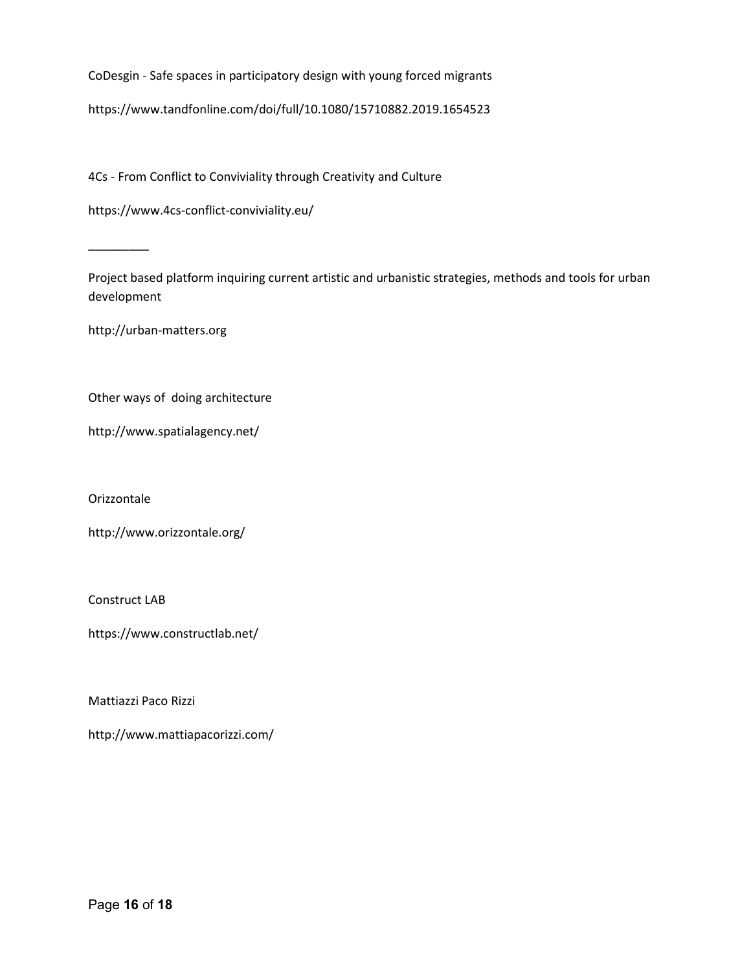CoDesgin - Safe spaces in participatory design with young forced migrants

https://www.tandfonline.com/doi/full/10.1080/15710882.2019.1654523

4Cs - From Conflict to Conviviality through Creativity and Culture

https://www.4cs-conflict-conviviality.eu/

\_\_\_\_\_\_\_\_\_

Project based platform inquiring current artistic and urbanistic strategies, methods and tools for urban development

http://urban-matters.org

Other ways of doing architecture

http://www.spatialagency.net/

Orizzontale

http://www.orizzontale.org/

Construct LAB

https://www.constructlab.net/

Mattiazzi Paco Rizzi

http://www.mattiapacorizzi.com/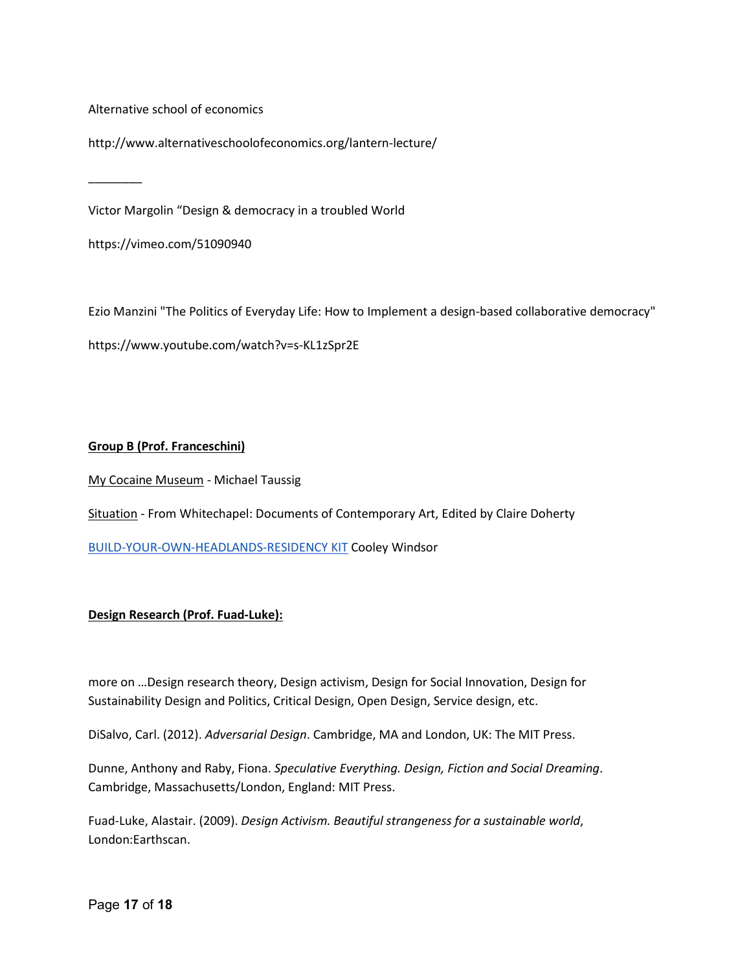Alternative school of economics

http://www.alternativeschoolofeconomics.org/lantern-lecture/

\_\_\_\_\_\_\_\_

Victor Margolin "Design & democracy in a troubled World

https://vimeo.com/51090940

Ezio Manzini "The Politics of Everyday Life: How to Implement a design-based collaborative democracy"

https://www.youtube.com/watch?v=s-KL1zSpr2E

# **Group B (Prof. Franceschini)**

My Cocaine Museum - Michael Taussig

Situation - From Whitechapel: Documents of Contemporary Art, Edited by Claire Doherty

[BUILD-YOUR-OWN-HEADLANDS-RESIDENCY KIT](http://futurefarmers.com/static/files/cooleywindsortext) Cooley Windsor

# **Design Research (Prof. Fuad-Luke):**

more on …Design research theory, Design activism, Design for Social Innovation, Design for Sustainability Design and Politics, Critical Design, Open Design, Service design, etc.

DiSalvo, Carl. (2012). *Adversarial Design*. Cambridge, MA and London, UK: The MIT Press.

Dunne, Anthony and Raby, Fiona. *Speculative Everything. Design, Fiction and Social Dreaming*. Cambridge, Massachusetts/London, England: MIT Press.

Fuad-Luke, Alastair. (2009). *Design Activism. Beautiful strangeness for a sustainable world*, London:Earthscan.